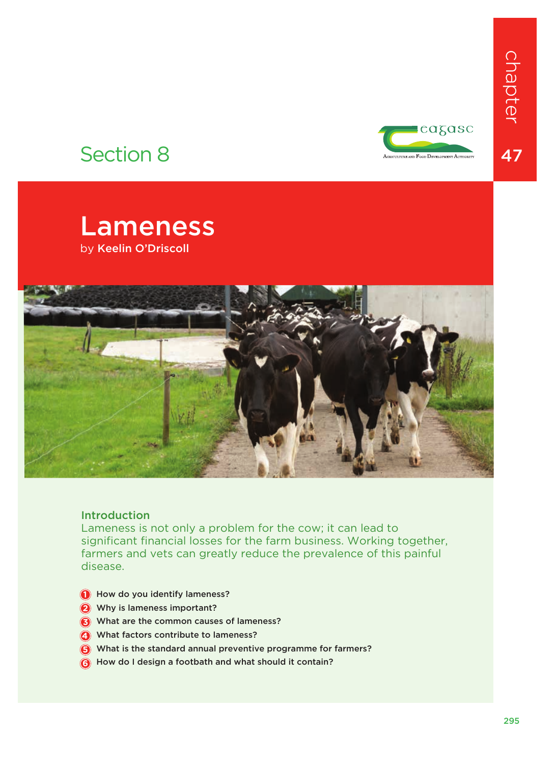

# Section 8





# Introduction

Lameness is not only a problem for the cow; it can lead to significant financial losses for the farm business. Working together, farmers and vets can greatly reduce the prevalence of this painful disease.

- **1** How do you identify lameness?
- 2 Why is lameness important?
- **3** What are the common causes of lameness?
- What factors contribute to lameness? **4**
- What is the standard annual preventive programme for farmers? **5**
- How do I design a footbath and what should it contain? **6**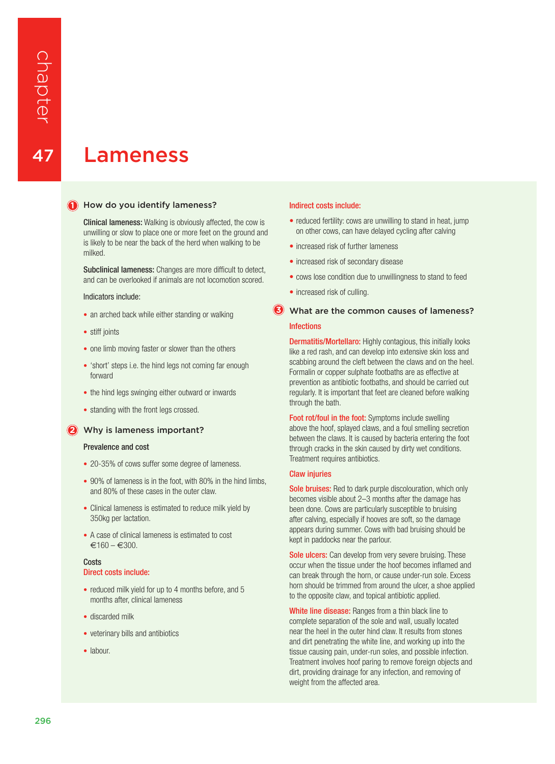47

# Lameness

### **1** How do you identify lameness?

Clinical lameness: Walking is obviously affected, the cow is unwilling or slow to place one or more feet on the ground and is likely to be near the back of the herd when walking to be milked.

Subclinical lameness: Changes are more difficult to detect, and can be overlooked if animals are not locomotion scored.

Indicators include:

- an arched back while either standing or walking
- stiff joints
- one limb moving faster or slower than the others
- 'short' steps i.e. the hind legs not coming far enough forward
- the hind legs swinging either outward or inwards
- standing with the front legs crossed.

#### 2 Why is lameness important?

#### Prevalence and cost

- 20-35% of cows suffer some degree of lameness.
- 90% of lameness is in the foot, with 80% in the hind limbs, and 80% of these cases in the outer claw.
- Clinical lameness is estimated to reduce milk yield by 350kg per lactation.
- A case of clinical lameness is estimated to cost  $€160 - €300.$

# **Costs**

# Direct costs include:

- reduced milk yield for up to 4 months before, and 5 months after, clinical lameness
- discarded milk
- veterinary bills and antibiotics
- labour.

#### Indirect costs include:

- reduced fertility: cows are unwilling to stand in heat, jump on other cows, can have delayed cycling after calving
- increased risk of further lameness
- increased risk of secondary disease
- cows lose condition due to unwillingness to stand to feed
- increased risk of culling.

# What are the common causes of lameness? **3**Infections

**Dermatitis/Mortellaro:** Highly contagious, this initially looks like a red rash, and can develop into extensive skin loss and scabbing around the cleft between the claws and on the heel. Formalin or copper sulphate footbaths are as effective at prevention as antibiotic footbaths, and should be carried out regularly. It is important that feet are cleaned before walking through the bath.

Foot rot/foul in the foot: Symptoms include swelling above the hoof, splayed claws, and a foul smelling secretion between the claws. It is caused by bacteria entering the foot through cracks in the skin caused by dirty wet conditions. Treatment requires antibiotics.

#### Claw injuries

Sole bruises: Red to dark purple discolouration, which only becomes visible about 2–3 months after the damage has been done. Cows are particularly susceptible to bruising after calving, especially if hooves are soft, so the damage appears during summer. Cows with bad bruising should be kept in paddocks near the parlour.

**Sole ulcers:** Can develop from very severe bruising. These occur when the tissue under the hoof becomes inflamed and can break through the horn, or cause under-run sole. Excess horn should be trimmed from around the ulcer, a shoe applied to the opposite claw, and topical antibiotic applied.

White line disease: Ranges from a thin black line to complete separation of the sole and wall, usually located near the heel in the outer hind claw. It results from stones and dirt penetrating the white line, and working up into the tissue causing pain, under-run soles, and possible infection. Treatment involves hoof paring to remove foreign objects and dirt, providing drainage for any infection, and removing of weight from the affected area.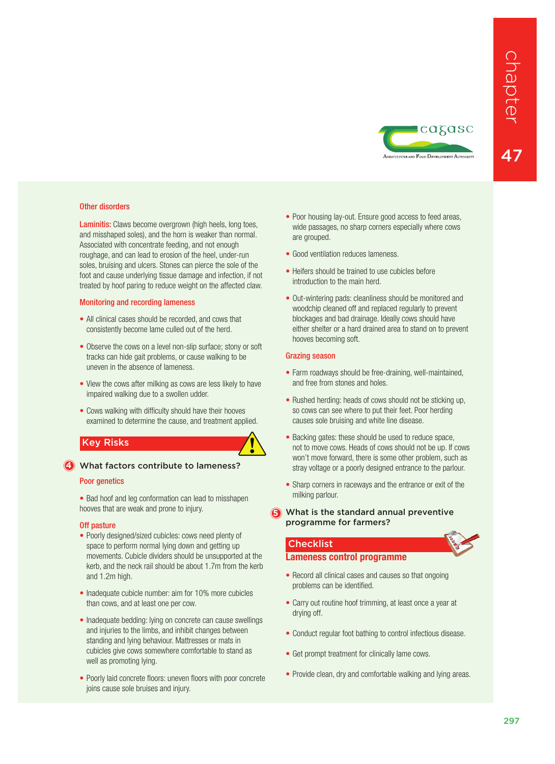

# Other disorders

Laminitis: Claws become overgrown (high heels, long toes, and misshaped soles), and the horn is weaker than normal. Associated with concentrate feeding, and not enough roughage, and can lead to erosion of the heel, under-run soles, bruising and ulcers. Stones can pierce the sole of the foot and cause underlying tissue damage and infection, if not treated by hoof paring to reduce weight on the affected claw.

# Monitoring and recording lameness

- All clinical cases should be recorded, and cows that consistently become lame culled out of the herd.
- Observe the cows on a level non-slip surface: stony or soft tracks can hide gait problems, or cause walking to be uneven in the absence of lameness.
- View the cows after milking as cows are less likely to have impaired walking due to a swollen udder.
- Cows walking with difficulty should have their hooves examined to determine the cause, and treatment applied.

# Key Risks



### Poor genetics

• Bad hoof and leg conformation can lead to misshapen hooves that are weak and prone to injury.

# Off pasture

- Poorly designed/sized cubicles: cows need plenty of space to perform normal lying down and getting up movements. Cubicle dividers should be unsupported at the kerb, and the neck rail should be about 1.7m from the kerb and 1.2m high.
- Inadequate cubicle number: aim for 10% more cubicles than cows, and at least one per cow.
- Inadequate bedding: Iving on concrete can cause swellings and injuries to the limbs, and inhibit changes between standing and lying behaviour. Mattresses or mats in cubicles give cows somewhere comfortable to stand as well as promoting lying.
- Poorly laid concrete floors: uneven floors with poor concrete joins cause sole bruises and injury.
- Poor housing lay-out. Ensure good access to feed areas, wide passages, no sharp corners especially where cows are grouped.
- Good ventilation reduces lameness
- Heifers should be trained to use cubicles before introduction to the main herd.
- Out-wintering pads: cleanliness should be monitored and woodchip cleaned off and replaced regularly to prevent blockages and bad drainage. Ideally cows should have either shelter or a hard drained area to stand on to prevent hooves becoming soft.

# Grazing season

**!**

- Farm roadways should be free-draining, well-maintained, and free from stones and holes.
- Rushed herding: heads of cows should not be sticking up, so cows can see where to put their feet. Poor herding causes sole bruising and white line disease.
- Backing gates: these should be used to reduce space, not to move cows. Heads of cows should not be up. If cows won't move forward, there is some other problem, such as stray voltage or a poorly designed entrance to the parlour.
- Sharp corners in raceways and the entrance or exit of the milking parlour.
- **5** What is the standard annual preventive programme for farmers?

# **Checklist**

# **Lameness control programme**

- Record all clinical cases and causes so that ongoing problems can be identified.
- Carry out routine hoof trimming, at least once a year at drying off.
- Conduct regular foot bathing to control infectious disease.
- Get prompt treatment for clinically lame cows.
- Provide clean, dry and comfortable walking and lying areas.